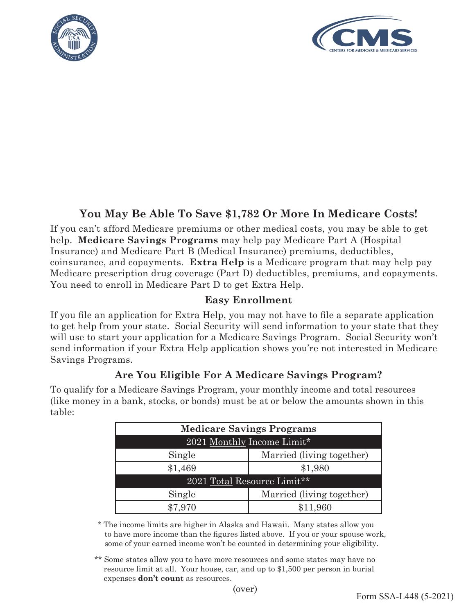



# **You May Be Able To Save \$1,782 Or More In Medicare Costs!**

If you can't afford Medicare premiums or other medical costs, you may be able to get help. **Medicare Savings Programs** may help pay Medicare Part A (Hospital Insurance) and Medicare Part B (Medical Insurance) premiums, deductibles, coinsurance, and copayments. **Extra Help** is a Medicare program that may help pay Medicare prescription drug coverage (Part D) deductibles, premiums, and copayments. You need to enroll in Medicare Part D to get Extra Help.

## **Easy Enrollment**

If you file an application for Extra Help, you may not have to file a separate application to get help from your state. Social Security will send information to your state that they will use to start your application for a Medicare Savings Program. Social Security won't send information if your Extra Help application shows you're not interested in Medicare Savings Programs.

## **Are You Eligible For A Medicare Savings Program?**

To qualify for a Medicare Savings Program, your monthly income and total resources (like money in a bank, stocks, or bonds) must be at or below the amounts shown in this table:

| <b>Medicare Savings Programs</b> |                           |
|----------------------------------|---------------------------|
| 2021 Monthly Income Limit*       |                           |
| Single                           | Married (living together) |
| \$1,469                          | \$1,980                   |
| 2021 Total Resource Limit**      |                           |
| Single                           | Married (living together) |
| \$7.970                          | \$11,960                  |

\* The income limits are higher in Alaska and Hawaii. Many states allow you to have more income than the figures listed above. If you or your spouse work, some of your earned income won't be counted in determining your eligibility.

\*\* Some states allow you to have more resources and some states may have no resource limit at all. Your house, car, and up to \$1,500 per person in burial expenses **don't count** as resources.